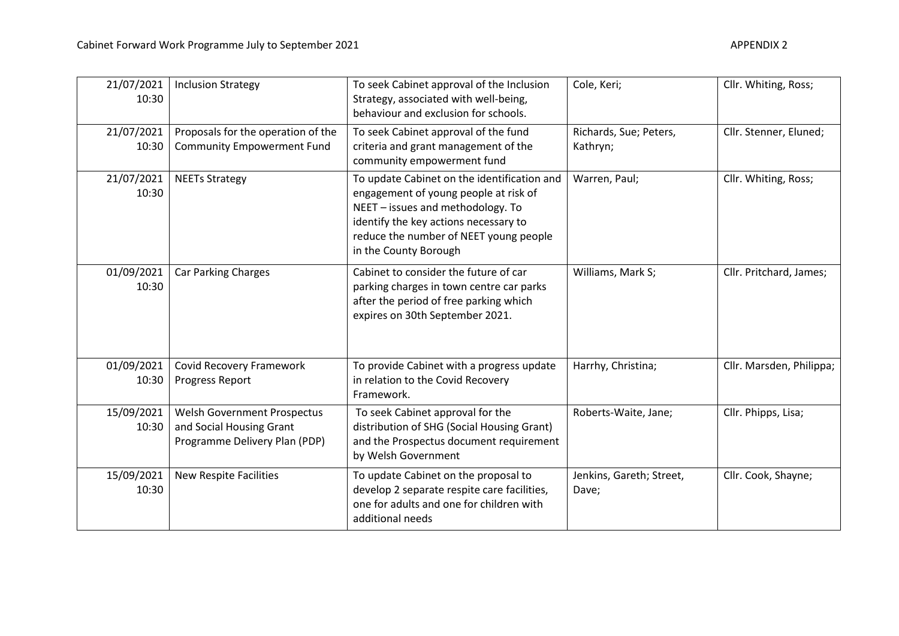| 21/07/2021<br>10:30 | <b>Inclusion Strategy</b>                                                                | To seek Cabinet approval of the Inclusion<br>Strategy, associated with well-being,<br>behaviour and exclusion for schools.                                                                                                            | Cole, Keri;                        | Cllr. Whiting, Ross;     |
|---------------------|------------------------------------------------------------------------------------------|---------------------------------------------------------------------------------------------------------------------------------------------------------------------------------------------------------------------------------------|------------------------------------|--------------------------|
| 21/07/2021<br>10:30 | Proposals for the operation of the<br><b>Community Empowerment Fund</b>                  | To seek Cabinet approval of the fund<br>criteria and grant management of the<br>community empowerment fund                                                                                                                            | Richards, Sue; Peters,<br>Kathryn; | Cllr. Stenner, Eluned;   |
| 21/07/2021<br>10:30 | <b>NEETs Strategy</b>                                                                    | To update Cabinet on the identification and<br>engagement of young people at risk of<br>NEET - issues and methodology. To<br>identify the key actions necessary to<br>reduce the number of NEET young people<br>in the County Borough | Warren, Paul;                      | Cllr. Whiting, Ross;     |
| 01/09/2021<br>10:30 | <b>Car Parking Charges</b>                                                               | Cabinet to consider the future of car<br>parking charges in town centre car parks<br>after the period of free parking which<br>expires on 30th September 2021.                                                                        | Williams, Mark S;                  | Cllr. Pritchard, James;  |
| 01/09/2021<br>10:30 | <b>Covid Recovery Framework</b><br>Progress Report                                       | To provide Cabinet with a progress update<br>in relation to the Covid Recovery<br>Framework.                                                                                                                                          | Harrhy, Christina;                 | Cllr. Marsden, Philippa; |
| 15/09/2021<br>10:30 | Welsh Government Prospectus<br>and Social Housing Grant<br>Programme Delivery Plan (PDP) | To seek Cabinet approval for the<br>distribution of SHG (Social Housing Grant)<br>and the Prospectus document requirement<br>by Welsh Government                                                                                      | Roberts-Waite, Jane;               | Cllr. Phipps, Lisa;      |
| 15/09/2021<br>10:30 | New Respite Facilities                                                                   | To update Cabinet on the proposal to<br>develop 2 separate respite care facilities,<br>one for adults and one for children with<br>additional needs                                                                                   | Jenkins, Gareth; Street,<br>Dave;  | Cllr. Cook, Shayne;      |